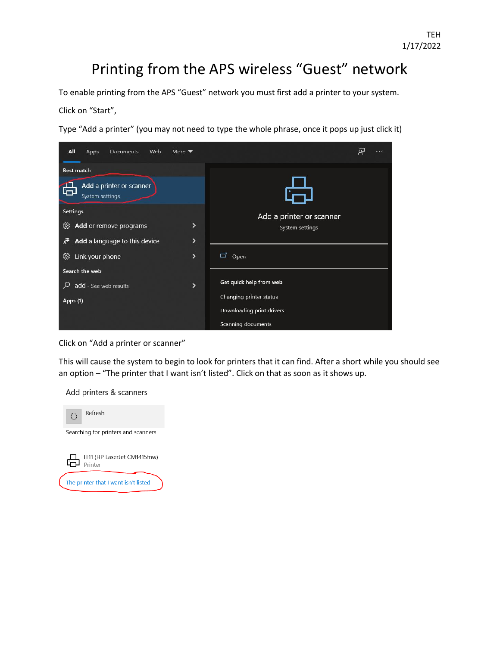## Printing from the APS wireless "Guest" network

To enable printing from the APS "Guest" network you must first add a printer to your system.

Click on "Start",

Type "Add a printer" (you may not need to type the whole phrase, once it pops up just click it)



Click on "Add a printer or scanner"

This will cause the system to begin to look for printers that it can find. After a short while you should see an option – "The printer that I want isn't listed". Click on that as soon as it shows up.

Add printers & scanners

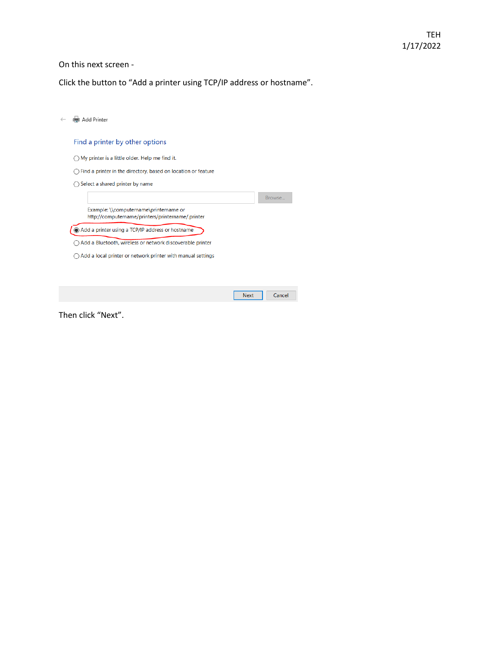## On this next screen -

Click the button to "Add a printer using TCP/IP address or hostname".

| Add Printer                                                                                 |        |
|---------------------------------------------------------------------------------------------|--------|
| Find a printer by other options                                                             |        |
| My printer is a little older. Help me find it.                                              |        |
| Find a printer in the directory, based on location or feature                               |        |
| Select a shared printer by name                                                             |        |
|                                                                                             | Browse |
| Example: \\computername\printername or<br>http://computername/printers/printername/.printer |        |
| Add a printer using a TCP/IP address or hostname                                            |        |
| Add a Bluetooth, wireless or network discoverable printer                                   |        |
| Add a local printer or network printer with manual settings                                 |        |
|                                                                                             |        |
|                                                                                             |        |
| <b>Next</b>                                                                                 | Cancel |

Then click "Next".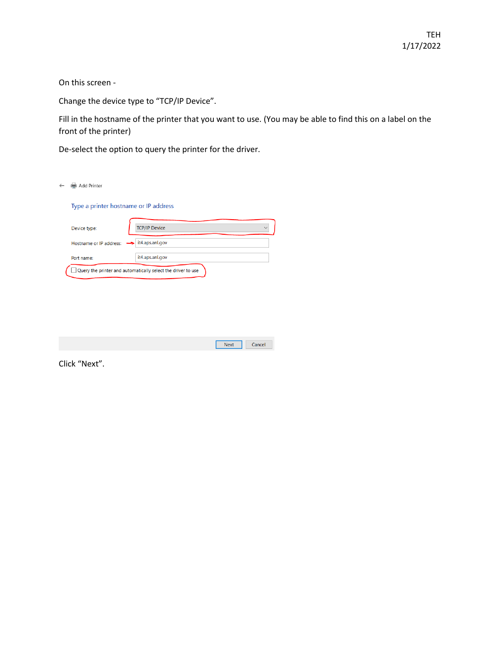On this screen -

Change the device type to "TCP/IP Device".

Fill in the hostname of the printer that you want to use. (You may be able to find this on a label on the front of the printer)

De-select the option to query the printer for the driver.

| Add Printer                           |                                                              |             |        |
|---------------------------------------|--------------------------------------------------------------|-------------|--------|
| Type a printer hostname or IP address |                                                              |             |        |
| Device type:                          | <b>TCP/IP Device</b>                                         |             |        |
| Hostname or IP address:               | it4.aps.anl.gov                                              |             |        |
| Port name:                            | it4.aps.anl.gov                                              |             |        |
|                                       | Query the printer and automatically select the driver to use |             |        |
|                                       |                                                              |             |        |
|                                       |                                                              |             |        |
|                                       |                                                              |             |        |
|                                       |                                                              |             |        |
|                                       |                                                              | <b>Next</b> | Cancel |

Click "Next".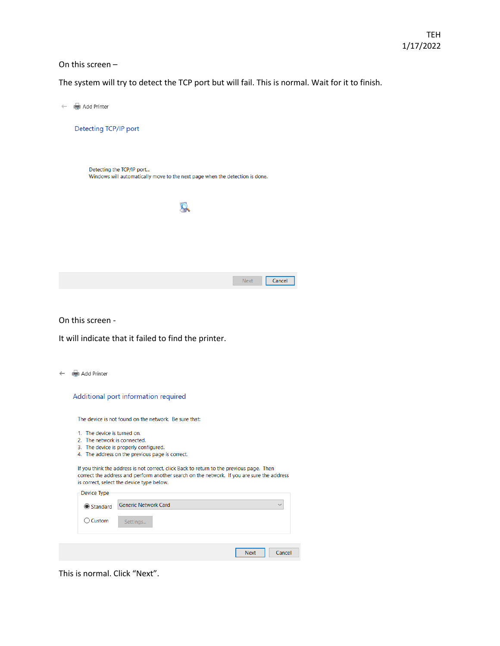## On this screen –

The system will try to detect the TCP port but will fail. This is normal. Wait for it to finish.

| Add Printer                                                                                               |  |
|-----------------------------------------------------------------------------------------------------------|--|
| Detecting TCP/IP port                                                                                     |  |
|                                                                                                           |  |
| Detecting the TCP/IP port<br>Windows will automatically move to the next page when the detection is done. |  |
|                                                                                                           |  |
|                                                                                                           |  |
|                                                                                                           |  |
| Cancel<br><b>Next</b>                                                                                     |  |

On this screen -

It will indicate that it failed to find the printer.

← en Add Printer

|  |  | Additional port information required |  |
|--|--|--------------------------------------|--|
|--|--|--------------------------------------|--|

The device is not found on the network. Be sure that:

- 1. The device is turned on.
- 
- 2. The network is connected.<br>3. The device is properly configured.
- 4. The address on the previous page is correct.

If you think the address is not correct, click Back to return to the previous page. Then correct the address and perform another search on the network. If you are sure the address is correct, select the device type below.

| -Device Type      | <b>Generic Network Card</b> | $\vee$                |
|-------------------|-----------------------------|-----------------------|
| <b>● Standard</b> |                             |                       |
| $\bigcirc$ Custom | Settings                    |                       |
|                   |                             |                       |
|                   |                             |                       |
|                   |                             | <b>Next</b><br>Cancel |

 $\overline{\phantom{a}}$ 

This is normal. Click "Next".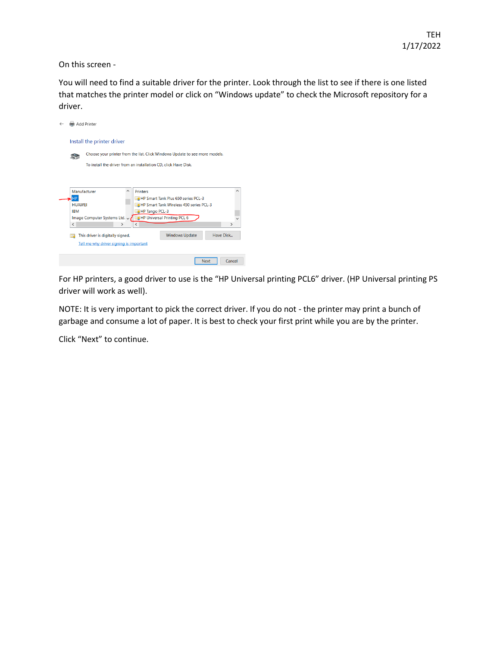On this screen -

You will need to find a suitable driver for the printer. Look through the list to see if there is one listed that matches the printer model or click on "Windows update" to check the Microsoft repository for a driver.



For HP printers, a good driver to use is the "HP Universal printing PCL6" driver. (HP Universal printing PS driver will work as well).

NOTE: It is very important to pick the correct driver. If you do not - the printer may print a bunch of garbage and consume a lot of paper. It is best to check your first print while you are by the printer.

Click "Next" to continue.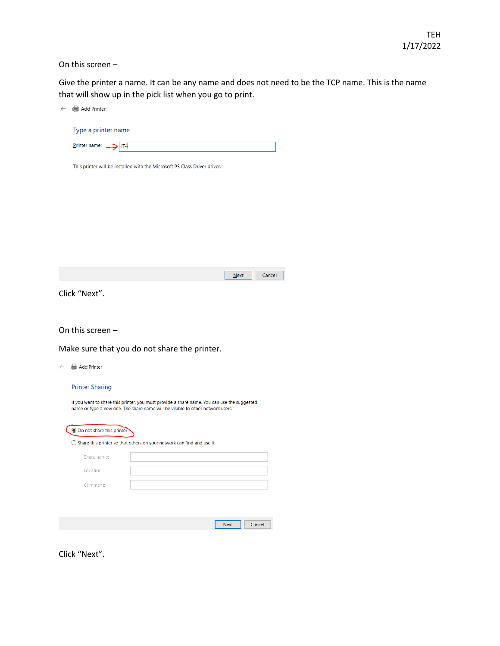On this screen –

Give the printer a name. It can be any name and does not need to be the TCP name. This is the name that will show up in the pick list when you go to print.

| $\leftarrow$ | Add Printer                                                                                                                                                                   |
|--------------|-------------------------------------------------------------------------------------------------------------------------------------------------------------------------------|
|              | Type a printer name                                                                                                                                                           |
|              | Printer name:<br>IT <sub>4</sub>                                                                                                                                              |
|              | This printer will be installed with the Microsoft PS Class Driver driver.                                                                                                     |
|              |                                                                                                                                                                               |
|              |                                                                                                                                                                               |
|              |                                                                                                                                                                               |
|              |                                                                                                                                                                               |
|              |                                                                                                                                                                               |
|              | <b>Next</b><br>Cancel                                                                                                                                                         |
|              | Click "Next".                                                                                                                                                                 |
|              |                                                                                                                                                                               |
|              | On this screen -                                                                                                                                                              |
|              | Make sure that you do not share the printer.                                                                                                                                  |
| $\leftarrow$ | Add Printer                                                                                                                                                                   |
|              | <b>Printer Sharing</b>                                                                                                                                                        |
|              | If you want to share this printer, you must provide a share name. You can use the suggested<br>name or type a new one. The share name will be visible to other network users. |
|              |                                                                                                                                                                               |
|              | ● Do not share this printer                                                                                                                                                   |
|              | $\bigcirc$ Share this printer so that others on your network can find and use it                                                                                              |
|              | Share name:                                                                                                                                                                   |
|              | Location:                                                                                                                                                                     |
|              | Comment:                                                                                                                                                                      |
|              |                                                                                                                                                                               |
|              | <b>Next</b><br>Cancel                                                                                                                                                         |
|              |                                                                                                                                                                               |

Click "Next".